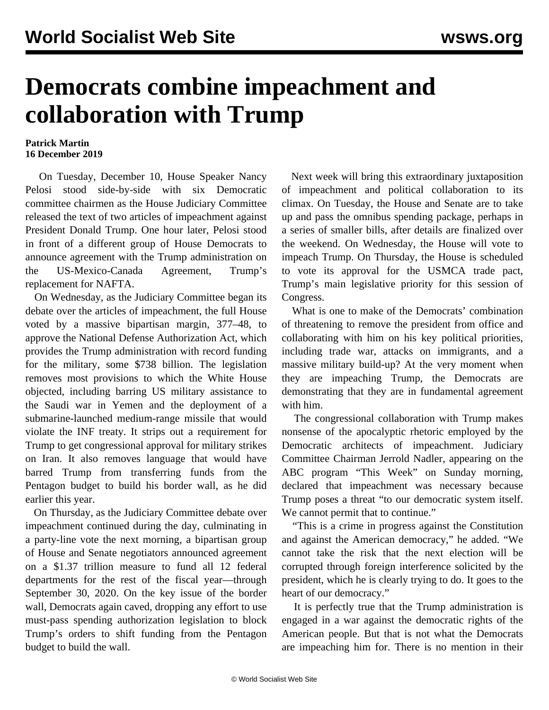## **Democrats combine impeachment and collaboration with Trump**

## **Patrick Martin 16 December 2019**

 On Tuesday, December 10, House Speaker Nancy Pelosi stood side-by-side with six Democratic committee chairmen as the House Judiciary Committee released the text of two articles of impeachment against President Donald Trump. One hour later, Pelosi stood in front of a different group of House Democrats to announce agreement with the Trump administration on the US-Mexico-Canada Agreement, Trump's replacement for NAFTA.

 On Wednesday, as the Judiciary Committee began its debate over the articles of impeachment, the full House voted by a massive bipartisan margin, 377–48, to approve the National Defense Authorization Act, which provides the Trump administration with record funding for the military, some \$738 billion. The legislation removes most provisions to which the White House objected, including barring US military assistance to the Saudi war in Yemen and the deployment of a submarine-launched medium-range missile that would violate the INF treaty. It strips out a requirement for Trump to get congressional approval for military strikes on Iran. It also removes language that would have barred Trump from transferring funds from the Pentagon budget to build his border wall, as he did earlier this year.

 On Thursday, as the Judiciary Committee debate over impeachment continued during the day, culminating in a party-line vote the next morning, a bipartisan group of House and Senate negotiators announced agreement on a \$1.37 trillion measure to fund all 12 federal departments for the rest of the fiscal year—through September 30, 2020. On the key issue of the border wall, Democrats again caved, dropping any effort to use must-pass spending authorization legislation to block Trump's orders to shift funding from the Pentagon budget to build the wall.

 Next week will bring this extraordinary juxtaposition of impeachment and political collaboration to its climax. On Tuesday, the House and Senate are to take up and pass the omnibus spending package, perhaps in a series of smaller bills, after details are finalized over the weekend. On Wednesday, the House will vote to impeach Trump. On Thursday, the House is scheduled to vote its approval for the USMCA trade pact, Trump's main legislative priority for this session of Congress.

 What is one to make of the Democrats' combination of threatening to remove the president from office and collaborating with him on his key political priorities, including trade war, attacks on immigrants, and a massive military build-up? At the very moment when they are impeaching Trump, the Democrats are demonstrating that they are in fundamental agreement with him.

 The congressional collaboration with Trump makes nonsense of the apocalyptic rhetoric employed by the Democratic architects of impeachment. Judiciary Committee Chairman Jerrold Nadler, appearing on the ABC program "This Week" on Sunday morning, declared that impeachment was necessary because Trump poses a threat "to our democratic system itself. We cannot permit that to continue."

 "This is a crime in progress against the Constitution and against the American democracy," he added. "We cannot take the risk that the next election will be corrupted through foreign interference solicited by the president, which he is clearly trying to do. It goes to the heart of our democracy."

 It is perfectly true that the Trump administration is engaged in a war against the democratic rights of the American people. But that is not what the Democrats are impeaching him for. There is no mention in their